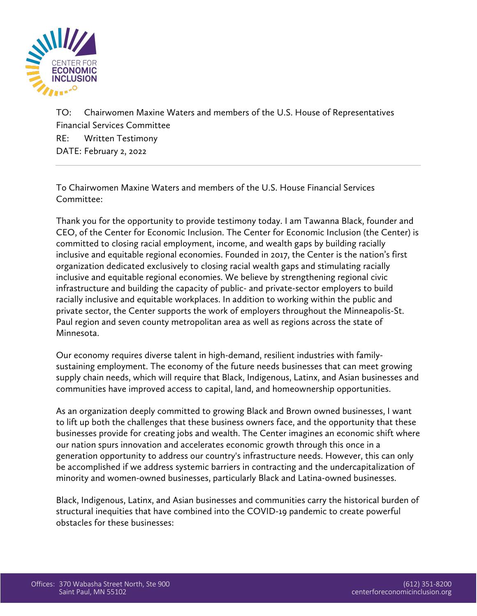

TO: Chairwomen Maxine Waters and members of the U.S. House of Representatives Financial Services Committee RE: Written Testimony DATE: February 2, 2022

To Chairwomen Maxine Waters and members of the U.S. House Financial Services Committee:

Thank you for the opportunity to provide testimony today. I am Tawanna Black, founder and CEO, of the Center for Economic Inclusion. The Center for Economic Inclusion (the Center) is committed to closing racial employment, income, and wealth gaps by building racially inclusive and equitable regional economies. Founded in 2017, the Center is the nation's first organization dedicated exclusively to closing racial wealth gaps and stimulating racially inclusive and equitable regional economies. We believe by strengthening regional civic infrastructure and building the capacity of public- and private-sector employers to build racially inclusive and equitable workplaces. In addition to working within the public and private sector, the Center supports the work of employers throughout the Minneapolis-St. Paul region and seven county metropolitan area as well as regions across the state of Minnesota.

Our economy requires diverse talent in high-demand, resilient industries with familysustaining employment. The economy of the future needs businesses that can meet growing supply chain needs, which will require that Black, Indigenous, Latinx, and Asian businesses and communities have improved access to capital, land, and homeownership opportunities.

As an organization deeply committed to growing Black and Brown owned businesses, I want to lift up both the challenges that these business owners face, and the opportunity that these businesses provide for creating jobs and wealth. The Center imagines an economic shift where our nation spurs innovation and accelerates economic growth through this once in a generation opportunity to address our country's infrastructure needs. However, this can only be accomplished if we address systemic barriers in contracting and the undercapitalization of minority and women-owned businesses, particularly Black and Latina-owned businesses.

Black, Indigenous, Latinx, and Asian businesses and communities carry the historical burden of structural inequities that have combined into the COVID-19 pandemic to create powerful obstacles for these businesses: